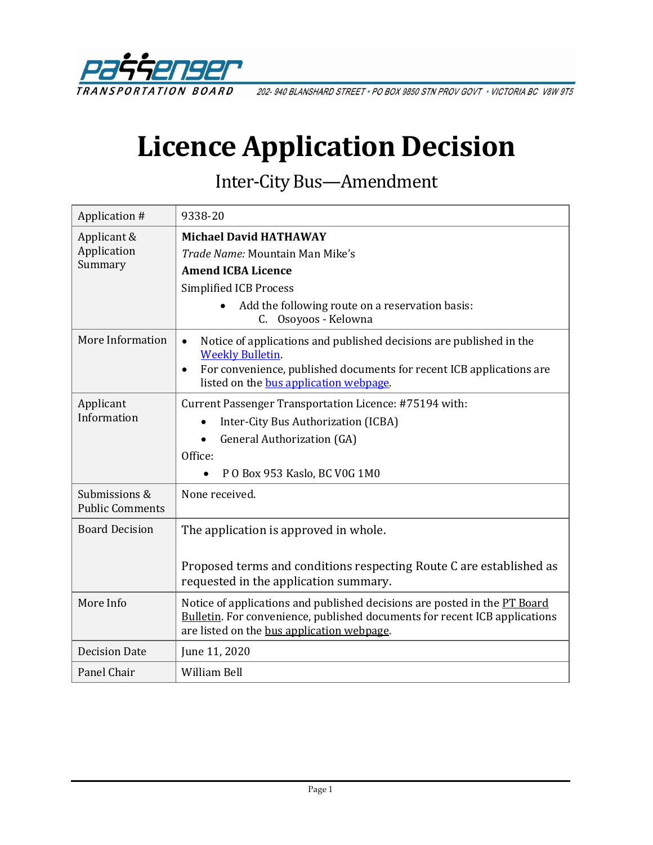

202-940 BLANSHARD STREET . PO BOX 9850 STN PROV GOVT . VICTORIA BC V8W 9T5

# **Licence Application Decision**

Inter-City Bus—Amendment

| Application #                           | 9338-20                                                                                                                                                                                                      |  |  |
|-----------------------------------------|--------------------------------------------------------------------------------------------------------------------------------------------------------------------------------------------------------------|--|--|
| Applicant &                             | <b>Michael David HATHAWAY</b>                                                                                                                                                                                |  |  |
| Application                             | Trade Name: Mountain Man Mike's                                                                                                                                                                              |  |  |
| Summary                                 | <b>Amend ICBA Licence</b>                                                                                                                                                                                    |  |  |
|                                         | <b>Simplified ICB Process</b>                                                                                                                                                                                |  |  |
|                                         | Add the following route on a reservation basis:<br>C. Osoyoos - Kelowna                                                                                                                                      |  |  |
| More Information                        | Notice of applications and published decisions are published in the<br>$\bullet$<br><b>Weekly Bulletin.</b>                                                                                                  |  |  |
|                                         | For convenience, published documents for recent ICB applications are<br>$\bullet$<br>listed on the bus application webpage.                                                                                  |  |  |
| Applicant                               | Current Passenger Transportation Licence: #75194 with:                                                                                                                                                       |  |  |
| Information                             | Inter-City Bus Authorization (ICBA)                                                                                                                                                                          |  |  |
|                                         | <b>General Authorization (GA)</b><br>$\bullet$                                                                                                                                                               |  |  |
|                                         | Office:                                                                                                                                                                                                      |  |  |
|                                         | PO Box 953 Kaslo, BC V0G 1M0                                                                                                                                                                                 |  |  |
| Submissions &<br><b>Public Comments</b> | None received.                                                                                                                                                                                               |  |  |
| <b>Board Decision</b>                   | The application is approved in whole.                                                                                                                                                                        |  |  |
|                                         | Proposed terms and conditions respecting Route C are established as<br>requested in the application summary.                                                                                                 |  |  |
| More Info                               | Notice of applications and published decisions are posted in the PT Board<br><b>Bulletin.</b> For convenience, published documents for recent ICB applications<br>are listed on the bus application webpage. |  |  |
| <b>Decision Date</b>                    | June 11, 2020                                                                                                                                                                                                |  |  |
| Panel Chair                             | William Bell                                                                                                                                                                                                 |  |  |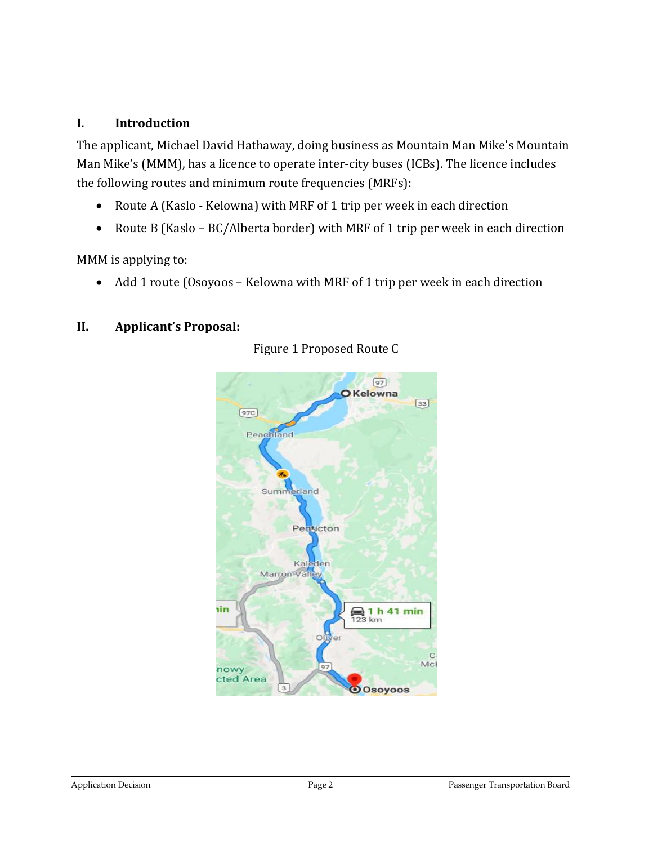## **I. Introduction**

The applicant, Michael David Hathaway, doing business as Mountain Man Mike's Mountain Man Mike's (MMM), has a licence to operate inter-city buses (ICBs). The licence includes the following routes and minimum route frequencies (MRFs):

- Route A (Kaslo Kelowna) with MRF of 1 trip per week in each direction
- Route B (Kaslo BC/Alberta border) with MRF of 1 trip per week in each direction

MMM is applying to:

• Add 1 route (Osoyoos – Kelowna with MRF of 1 trip per week in each direction

## **II. Applicant's Proposal:**



Figure 1 Proposed Route C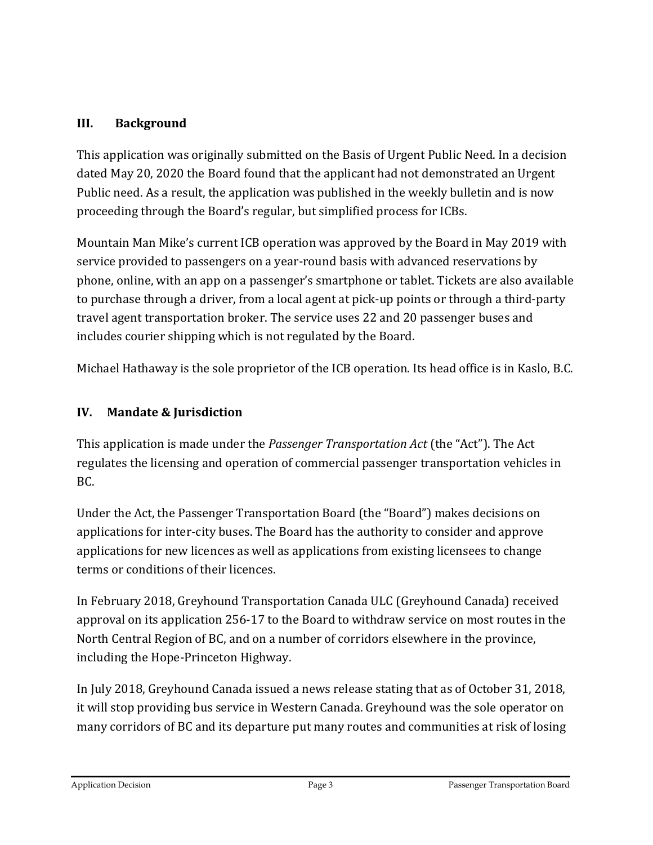## **III. Background**

This application was originally submitted on the Basis of Urgent Public Need. In a decision dated May 20, 2020 the Board found that the applicant had not demonstrated an Urgent Public need. As a result, the application was published in the weekly bulletin and is now proceeding through the Board's regular, but simplified process for ICBs.

Mountain Man Mike's current ICB operation was approved by the Board in May 2019 with service provided to passengers on a year-round basis with advanced reservations by phone, online, with an app on a passenger's smartphone or tablet. Tickets are also available to purchase through a driver, from a local agent at pick-up points or through a third-party travel agent transportation broker. The service uses 22 and 20 passenger buses and includes courier shipping which is not regulated by the Board.

Michael Hathaway is the sole proprietor of the ICB operation. Its head office is in Kaslo, B.C.

# **IV. Mandate & Jurisdiction**

This application is made under the *Passenger Transportation Act* (the "Act"). The Act regulates the licensing and operation of commercial passenger transportation vehicles in BC.

Under the Act, the Passenger Transportation Board (the "Board") makes decisions on applications for inter-city buses. The Board has the authority to consider and approve applications for new licences as well as applications from existing licensees to change terms or conditions of their licences.

In February 2018, Greyhound Transportation Canada ULC (Greyhound Canada) received approval on its application 256-17 to the Board to withdraw service on most routes in the North Central Region of BC, and on a number of corridors elsewhere in the province, including the Hope-Princeton Highway.

In July 2018, Greyhound Canada issued a news release stating that as of October 31, 2018, it will stop providing bus service in Western Canada. Greyhound was the sole operator on many corridors of BC and its departure put many routes and communities at risk of losing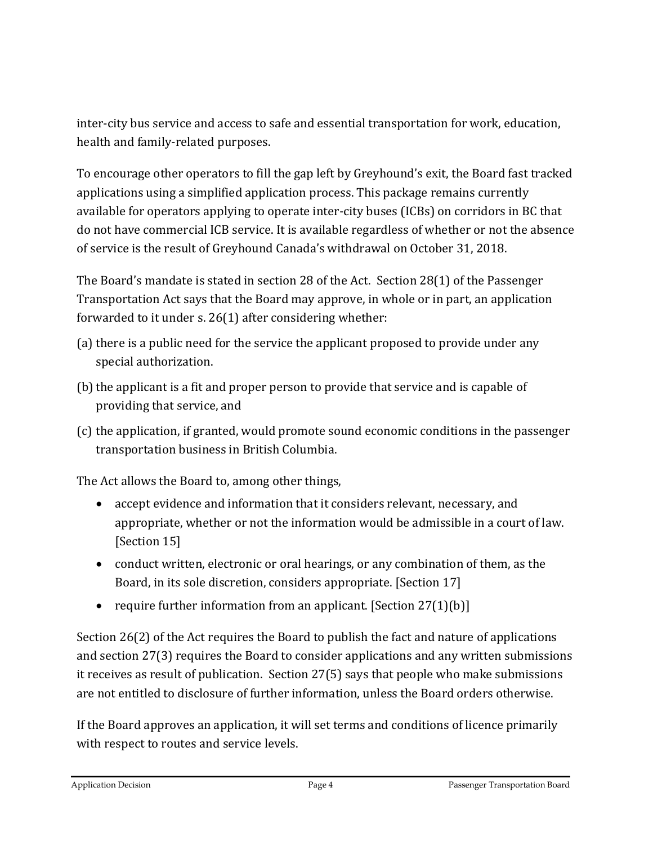inter-city bus service and access to safe and essential transportation for work, education, health and family-related purposes.

To encourage other operators to fill the gap left by Greyhound's exit, the Board fast tracked applications using a simplified application process. This package remains currently available for operators applying to operate inter-city buses (ICBs) on corridors in BC that do not have commercial ICB service. It is available regardless of whether or not the absence of service is the result of Greyhound Canada's withdrawal on October 31, 2018.

The Board's mandate is stated in section 28 of the Act. Section 28(1) of the Passenger Transportation Act says that the Board may approve, in whole or in part, an application forwarded to it under s. 26(1) after considering whether:

- (a) there is a public need for the service the applicant proposed to provide under any special authorization.
- (b) the applicant is a fit and proper person to provide that service and is capable of providing that service, and
- (c) the application, if granted, would promote sound economic conditions in the passenger transportation business in British Columbia.

The Act allows the Board to, among other things,

- accept evidence and information that it considers relevant, necessary, and appropriate, whether or not the information would be admissible in a court of law. [Section 15]
- conduct written, electronic or oral hearings, or any combination of them, as the Board, in its sole discretion, considers appropriate. [Section 17]
- require further information from an applicant. [Section 27(1)(b)]

Section 26(2) of the Act requires the Board to publish the fact and nature of applications and section 27(3) requires the Board to consider applications and any written submissions it receives as result of publication. Section 27(5) says that people who make submissions are not entitled to disclosure of further information, unless the Board orders otherwise.

If the Board approves an application, it will set terms and conditions of licence primarily with respect to routes and service levels.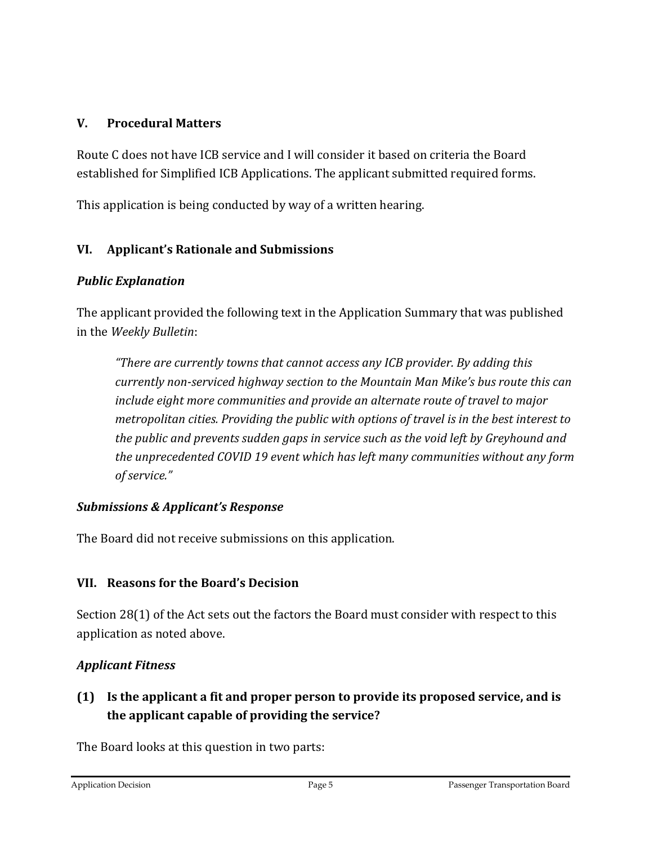## **V. Procedural Matters**

Route C does not have ICB service and I will consider it based on criteria the Board established for Simplified ICB Applications. The applicant submitted required forms.

This application is being conducted by way of a written hearing.

## **VI. Applicant's Rationale and Submissions**

## *Public Explanation*

The applicant provided the following text in the Application Summary that was published in the *Weekly Bulletin*:

*"There are currently towns that cannot access any ICB provider. By adding this currently non-serviced highway section to the Mountain Man Mike's bus route this can include eight more communities and provide an alternate route of travel to major metropolitan cities. Providing the public with options of travel is in the best interest to the public and prevents sudden gaps in service such as the void left by Greyhound and the unprecedented COVID 19 event which has left many communities without any form of service."*

## *Submissions & Applicant's Response*

The Board did not receive submissions on this application.

# **VII. Reasons for the Board's Decision**

Section 28(1) of the Act sets out the factors the Board must consider with respect to this application as noted above.

# *Applicant Fitness*

# **(1) Is the applicant a fit and proper person to provide its proposed service, and is the applicant capable of providing the service?**

The Board looks at this question in two parts: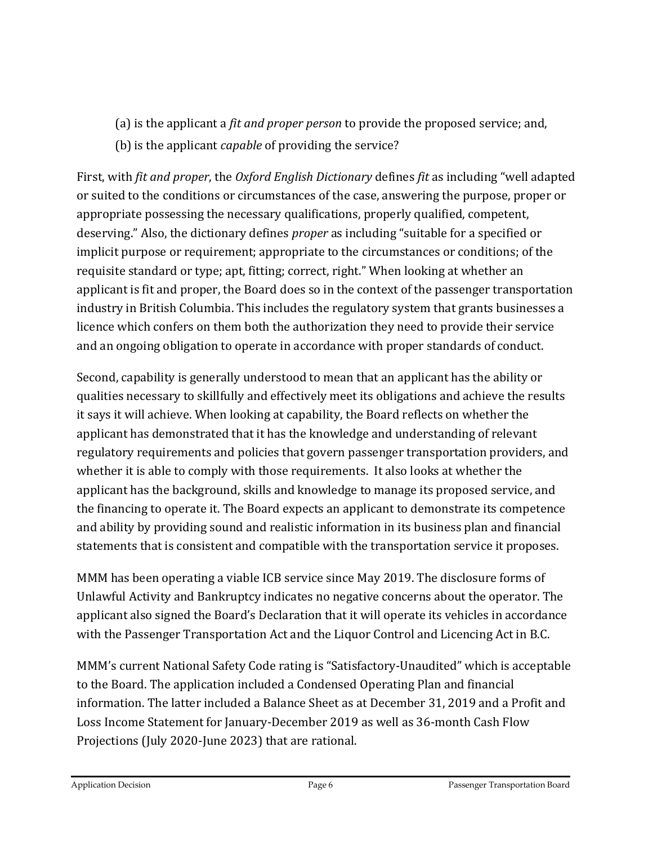- (a) is the applicant a *fit and proper person* to provide the proposed service; and,
- (b) is the applicant *capable* of providing the service?

First, with *fit and proper*, the *Oxford English Dictionary* defines *fit* as including "well adapted or suited to the conditions or circumstances of the case, answering the purpose, proper or appropriate possessing the necessary qualifications, properly qualified, competent, deserving." Also, the dictionary defines *proper* as including "suitable for a specified or implicit purpose or requirement; appropriate to the circumstances or conditions; of the requisite standard or type; apt, fitting; correct, right." When looking at whether an applicant is fit and proper, the Board does so in the context of the passenger transportation industry in British Columbia. This includes the regulatory system that grants businesses a licence which confers on them both the authorization they need to provide their service and an ongoing obligation to operate in accordance with proper standards of conduct.

Second, capability is generally understood to mean that an applicant has the ability or qualities necessary to skillfully and effectively meet its obligations and achieve the results it says it will achieve. When looking at capability, the Board reflects on whether the applicant has demonstrated that it has the knowledge and understanding of relevant regulatory requirements and policies that govern passenger transportation providers, and whether it is able to comply with those requirements. It also looks at whether the applicant has the background, skills and knowledge to manage its proposed service, and the financing to operate it. The Board expects an applicant to demonstrate its competence and ability by providing sound and realistic information in its business plan and financial statements that is consistent and compatible with the transportation service it proposes.

MMM has been operating a viable ICB service since May 2019. The disclosure forms of Unlawful Activity and Bankruptcy indicates no negative concerns about the operator. The applicant also signed the Board's Declaration that it will operate its vehicles in accordance with the Passenger Transportation Act and the Liquor Control and Licencing Act in B.C.

MMM's current National Safety Code rating is "Satisfactory-Unaudited" which is acceptable to the Board. The application included a Condensed Operating Plan and financial information. The latter included a Balance Sheet as at December 31, 2019 and a Profit and Loss Income Statement for January-December 2019 as well as 36-month Cash Flow Projections (July 2020-June 2023) that are rational.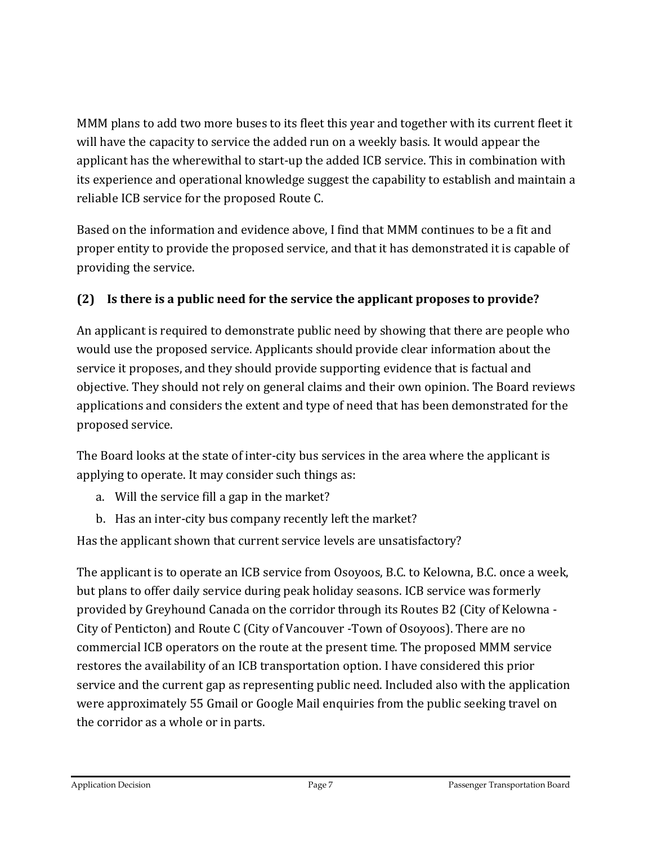MMM plans to add two more buses to its fleet this year and together with its current fleet it will have the capacity to service the added run on a weekly basis. It would appear the applicant has the wherewithal to start-up the added ICB service. This in combination with its experience and operational knowledge suggest the capability to establish and maintain a reliable ICB service for the proposed Route C.

Based on the information and evidence above, I find that MMM continues to be a fit and proper entity to provide the proposed service, and that it has demonstrated it is capable of providing the service.

# **(2) Is there is a public need for the service the applicant proposes to provide?**

An applicant is required to demonstrate public need by showing that there are people who would use the proposed service. Applicants should provide clear information about the service it proposes, and they should provide supporting evidence that is factual and objective. They should not rely on general claims and their own opinion. The Board reviews applications and considers the extent and type of need that has been demonstrated for the proposed service.

The Board looks at the state of inter-city bus services in the area where the applicant is applying to operate. It may consider such things as:

- a. Will the service fill a gap in the market?
- b. Has an inter-city bus company recently left the market?

Has the applicant shown that current service levels are unsatisfactory?

The applicant is to operate an ICB service from Osoyoos, B.C. to Kelowna, B.C. once a week, but plans to offer daily service during peak holiday seasons. ICB service was formerly provided by Greyhound Canada on the corridor through its Routes B2 (City of Kelowna - City of Penticton) and Route C (City of Vancouver -Town of Osoyoos). There are no commercial ICB operators on the route at the present time. The proposed MMM service restores the availability of an ICB transportation option. I have considered this prior service and the current gap as representing public need. Included also with the application were approximately 55 Gmail or Google Mail enquiries from the public seeking travel on the corridor as a whole or in parts.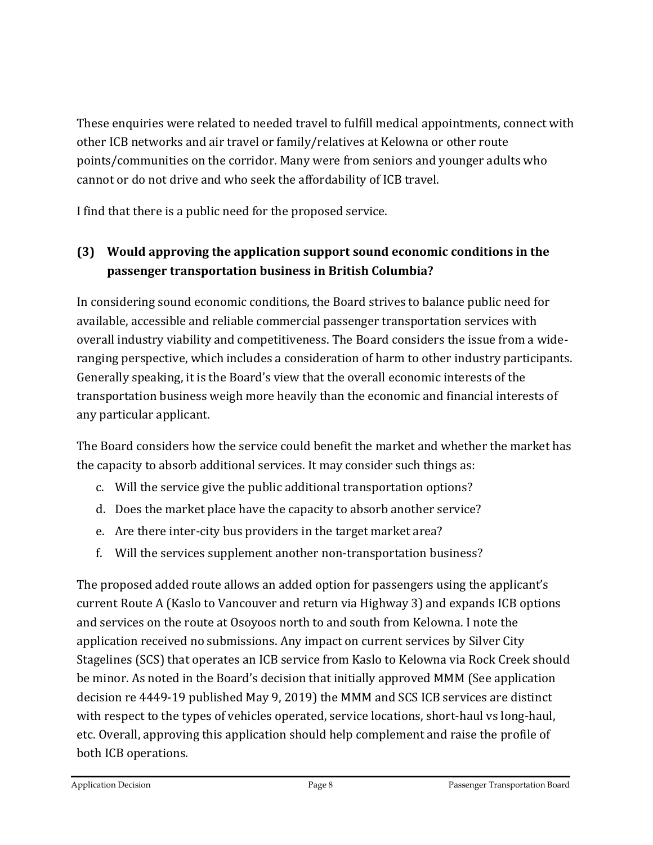These enquiries were related to needed travel to fulfill medical appointments, connect with other ICB networks and air travel or family/relatives at Kelowna or other route points/communities on the corridor. Many were from seniors and younger adults who cannot or do not drive and who seek the affordability of ICB travel.

I find that there is a public need for the proposed service.

# **(3) Would approving the application support sound economic conditions in the passenger transportation business in British Columbia?**

In considering sound economic conditions, the Board strives to balance public need for available, accessible and reliable commercial passenger transportation services with overall industry viability and competitiveness. The Board considers the issue from a wideranging perspective, which includes a consideration of harm to other industry participants. Generally speaking, it is the Board's view that the overall economic interests of the transportation business weigh more heavily than the economic and financial interests of any particular applicant.

The Board considers how the service could benefit the market and whether the market has the capacity to absorb additional services. It may consider such things as:

- c. Will the service give the public additional transportation options?
- d. Does the market place have the capacity to absorb another service?
- e. Are there inter-city bus providers in the target market area?
- f. Will the services supplement another non-transportation business?

The proposed added route allows an added option for passengers using the applicant's current Route A (Kaslo to Vancouver and return via Highway 3) and expands ICB options and services on the route at Osoyoos north to and south from Kelowna. I note the application received no submissions. Any impact on current services by Silver City Stagelines (SCS) that operates an ICB service from Kaslo to Kelowna via Rock Creek should be minor. As noted in the Board's decision that initially approved MMM (See application decision re 4449-19 published May 9, 2019) the MMM and SCS ICB services are distinct with respect to the types of vehicles operated, service locations, short-haul vs long-haul, etc. Overall, approving this application should help complement and raise the profile of both ICB operations.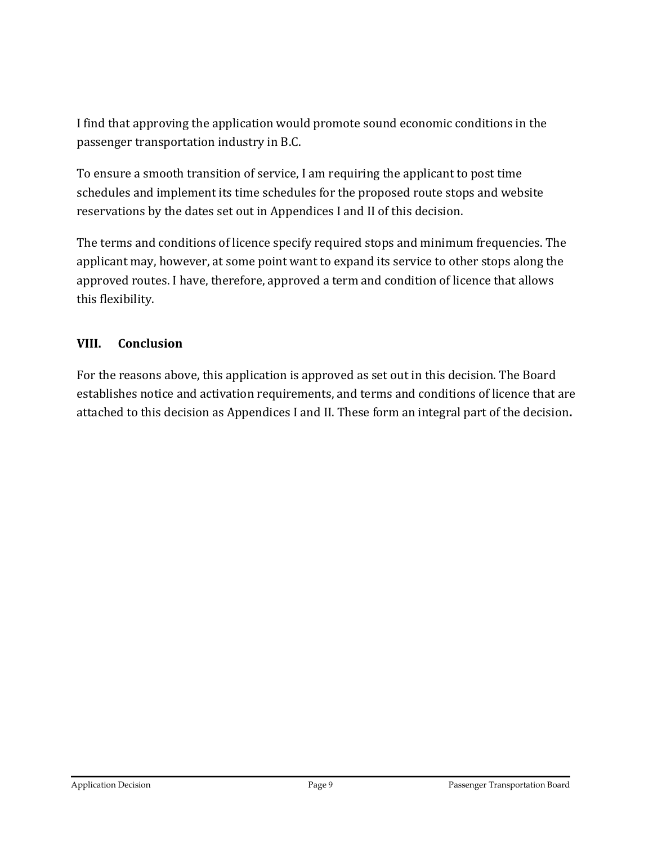I find that approving the application would promote sound economic conditions in the passenger transportation industry in B.C.

To ensure a smooth transition of service, I am requiring the applicant to post time schedules and implement its time schedules for the proposed route stops and website reservations by the dates set out in Appendices I and II of this decision.

The terms and conditions of licence specify required stops and minimum frequencies. The applicant may, however, at some point want to expand its service to other stops along the approved routes. I have, therefore, approved a term and condition of licence that allows this flexibility.

## **VIII. Conclusion**

For the reasons above, this application is approved as set out in this decision. The Board establishes notice and activation requirements, and terms and conditions of licence that are attached to this decision as Appendices I and II. These form an integral part of the decision**.**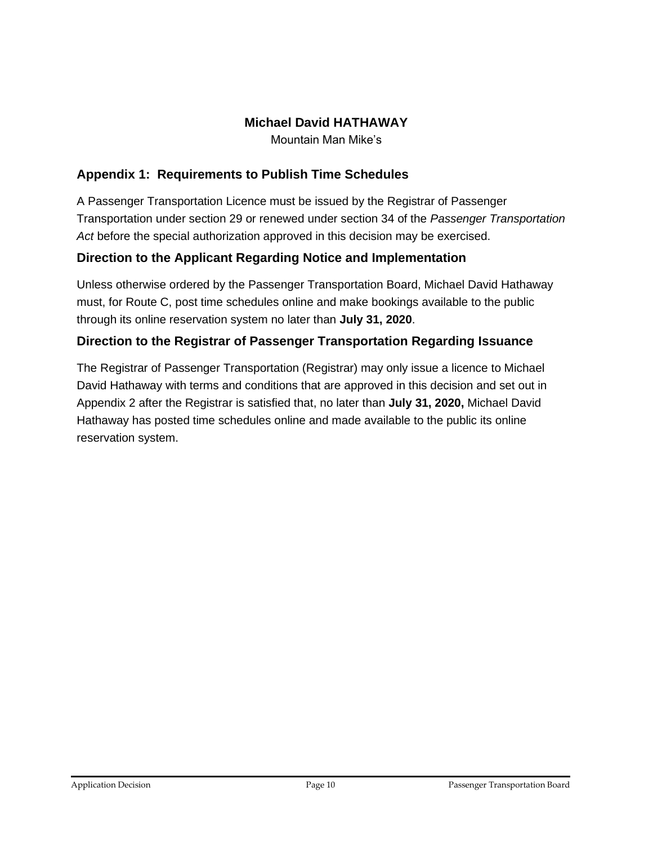## **Michael David HATHAWAY**

Mountain Man Mike's

#### **Appendix 1: Requirements to Publish Time Schedules**

A Passenger Transportation Licence must be issued by the Registrar of Passenger Transportation under section 29 or renewed under section 34 of the *Passenger Transportation Act* before the special authorization approved in this decision may be exercised.

## **Direction to the Applicant Regarding Notice and Implementation**

Unless otherwise ordered by the Passenger Transportation Board, Michael David Hathaway must, for Route C, post time schedules online and make bookings available to the public through its online reservation system no later than **July 31, 2020**.

#### **Direction to the Registrar of Passenger Transportation Regarding Issuance**

The Registrar of Passenger Transportation (Registrar) may only issue a licence to Michael David Hathaway with terms and conditions that are approved in this decision and set out in Appendix 2 after the Registrar is satisfied that, no later than **July 31, 2020,** Michael David Hathaway has posted time schedules online and made available to the public its online reservation system.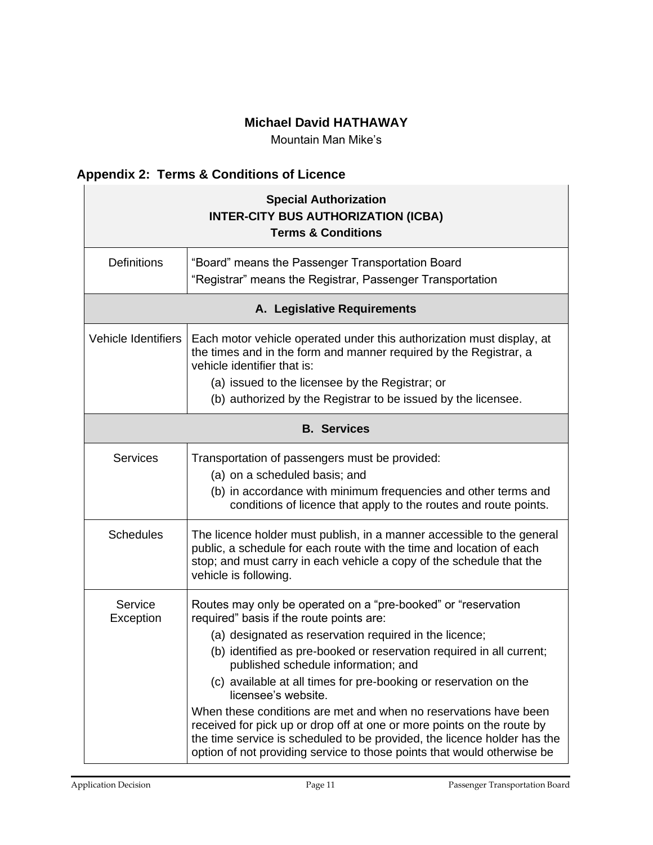## **Michael David HATHAWAY**

Mountain Man Mike's

# **Appendix 2: Terms & Conditions of Licence**

| <b>Special Authorization</b><br><b>INTER-CITY BUS AUTHORIZATION (ICBA)</b><br><b>Terms &amp; Conditions</b> |                                                                                                                                                                                                                                                                                                                                                                                                                                                                                                                                                                                                                                                                                    |  |  |  |
|-------------------------------------------------------------------------------------------------------------|------------------------------------------------------------------------------------------------------------------------------------------------------------------------------------------------------------------------------------------------------------------------------------------------------------------------------------------------------------------------------------------------------------------------------------------------------------------------------------------------------------------------------------------------------------------------------------------------------------------------------------------------------------------------------------|--|--|--|
| <b>Definitions</b>                                                                                          | "Board" means the Passenger Transportation Board<br>"Registrar" means the Registrar, Passenger Transportation                                                                                                                                                                                                                                                                                                                                                                                                                                                                                                                                                                      |  |  |  |
| A. Legislative Requirements                                                                                 |                                                                                                                                                                                                                                                                                                                                                                                                                                                                                                                                                                                                                                                                                    |  |  |  |
| <b>Vehicle Identifiers</b>                                                                                  | Each motor vehicle operated under this authorization must display, at<br>the times and in the form and manner required by the Registrar, a<br>vehicle identifier that is:<br>(a) issued to the licensee by the Registrar; or<br>(b) authorized by the Registrar to be issued by the licensee.                                                                                                                                                                                                                                                                                                                                                                                      |  |  |  |
| <b>B.</b> Services                                                                                          |                                                                                                                                                                                                                                                                                                                                                                                                                                                                                                                                                                                                                                                                                    |  |  |  |
| <b>Services</b>                                                                                             | Transportation of passengers must be provided:<br>(a) on a scheduled basis; and<br>(b) in accordance with minimum frequencies and other terms and<br>conditions of licence that apply to the routes and route points.                                                                                                                                                                                                                                                                                                                                                                                                                                                              |  |  |  |
| <b>Schedules</b>                                                                                            | The licence holder must publish, in a manner accessible to the general<br>public, a schedule for each route with the time and location of each<br>stop; and must carry in each vehicle a copy of the schedule that the<br>vehicle is following.                                                                                                                                                                                                                                                                                                                                                                                                                                    |  |  |  |
| Service<br>Exception                                                                                        | Routes may only be operated on a "pre-booked" or "reservation<br>required" basis if the route points are:<br>(a) designated as reservation required in the licence;<br>(b) identified as pre-booked or reservation required in all current;<br>published schedule information; and<br>(c) available at all times for pre-booking or reservation on the<br>licensee's website.<br>When these conditions are met and when no reservations have been<br>received for pick up or drop off at one or more points on the route by<br>the time service is scheduled to be provided, the licence holder has the<br>option of not providing service to those points that would otherwise be |  |  |  |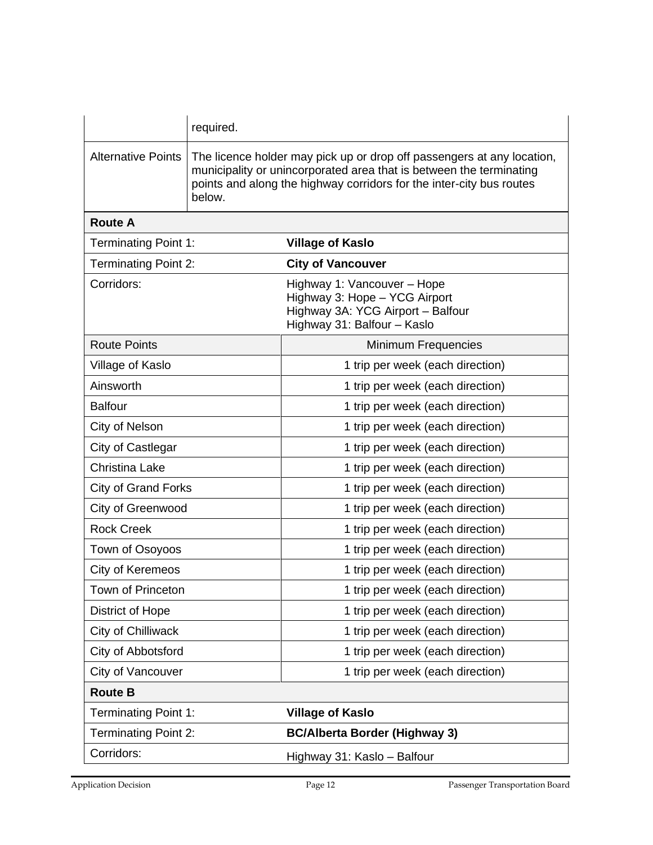|                             | required.                                                                                                                                                                                                                       |                                                                                                                                  |  |
|-----------------------------|---------------------------------------------------------------------------------------------------------------------------------------------------------------------------------------------------------------------------------|----------------------------------------------------------------------------------------------------------------------------------|--|
| <b>Alternative Points</b>   | The licence holder may pick up or drop off passengers at any location,<br>municipality or unincorporated area that is between the terminating<br>points and along the highway corridors for the inter-city bus routes<br>below. |                                                                                                                                  |  |
| <b>Route A</b>              |                                                                                                                                                                                                                                 |                                                                                                                                  |  |
| <b>Terminating Point 1:</b> |                                                                                                                                                                                                                                 | <b>Village of Kaslo</b>                                                                                                          |  |
| <b>Terminating Point 2:</b> |                                                                                                                                                                                                                                 | <b>City of Vancouver</b>                                                                                                         |  |
| Corridors:                  |                                                                                                                                                                                                                                 | Highway 1: Vancouver - Hope<br>Highway 3: Hope - YCG Airport<br>Highway 3A: YCG Airport - Balfour<br>Highway 31: Balfour - Kaslo |  |
| <b>Route Points</b>         |                                                                                                                                                                                                                                 | <b>Minimum Frequencies</b>                                                                                                       |  |
| Village of Kaslo            |                                                                                                                                                                                                                                 | 1 trip per week (each direction)                                                                                                 |  |
| Ainsworth                   |                                                                                                                                                                                                                                 | 1 trip per week (each direction)                                                                                                 |  |
| <b>Balfour</b>              |                                                                                                                                                                                                                                 | 1 trip per week (each direction)                                                                                                 |  |
| City of Nelson              |                                                                                                                                                                                                                                 | 1 trip per week (each direction)                                                                                                 |  |
| City of Castlegar           |                                                                                                                                                                                                                                 | 1 trip per week (each direction)                                                                                                 |  |
| <b>Christina Lake</b>       |                                                                                                                                                                                                                                 | 1 trip per week (each direction)                                                                                                 |  |
| <b>City of Grand Forks</b>  |                                                                                                                                                                                                                                 | 1 trip per week (each direction)                                                                                                 |  |
| City of Greenwood           |                                                                                                                                                                                                                                 | 1 trip per week (each direction)                                                                                                 |  |
| <b>Rock Creek</b>           |                                                                                                                                                                                                                                 | 1 trip per week (each direction)                                                                                                 |  |
| Town of Osoyoos             |                                                                                                                                                                                                                                 | 1 trip per week (each direction)                                                                                                 |  |
| City of Keremeos            |                                                                                                                                                                                                                                 | 1 trip per week (each direction)                                                                                                 |  |
| <b>Town of Princeton</b>    |                                                                                                                                                                                                                                 | 1 trip per week (each direction)                                                                                                 |  |
| District of Hope            |                                                                                                                                                                                                                                 | 1 trip per week (each direction)                                                                                                 |  |
| City of Chilliwack          |                                                                                                                                                                                                                                 | 1 trip per week (each direction)                                                                                                 |  |
| City of Abbotsford          |                                                                                                                                                                                                                                 | 1 trip per week (each direction)                                                                                                 |  |
| City of Vancouver           |                                                                                                                                                                                                                                 | 1 trip per week (each direction)                                                                                                 |  |
| <b>Route B</b>              |                                                                                                                                                                                                                                 |                                                                                                                                  |  |
| <b>Terminating Point 1:</b> |                                                                                                                                                                                                                                 | <b>Village of Kaslo</b>                                                                                                          |  |
| <b>Terminating Point 2:</b> |                                                                                                                                                                                                                                 | <b>BC/Alberta Border (Highway 3)</b>                                                                                             |  |
| Corridors:                  |                                                                                                                                                                                                                                 | Highway 31: Kaslo - Balfour                                                                                                      |  |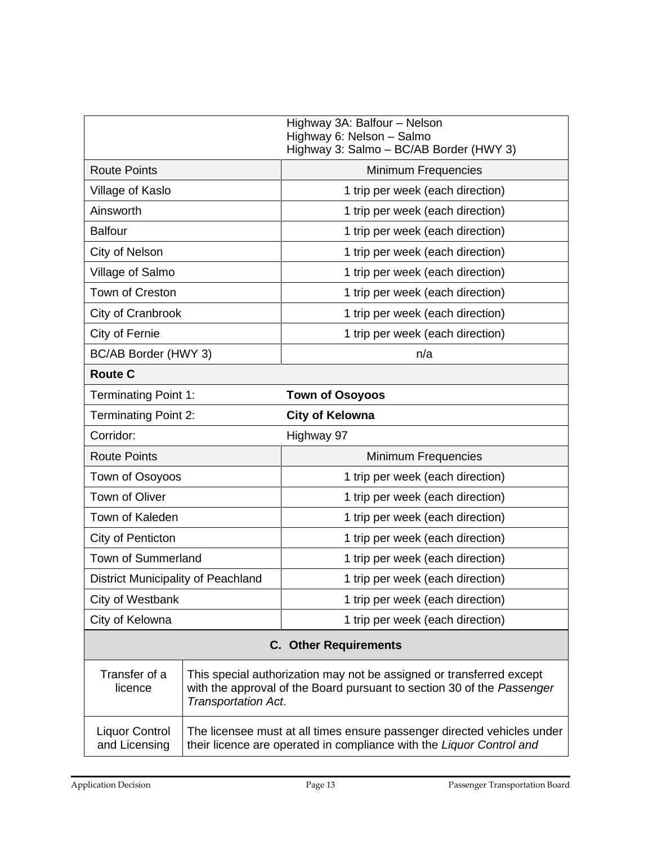|                                    |                            | Highway 3A: Balfour - Nelson<br>Highway 6: Nelson - Salmo<br>Highway 3: Salmo - BC/AB Border (HWY 3)                                           |
|------------------------------------|----------------------------|------------------------------------------------------------------------------------------------------------------------------------------------|
| <b>Route Points</b>                |                            | Minimum Frequencies                                                                                                                            |
| Village of Kaslo                   |                            | 1 trip per week (each direction)                                                                                                               |
| Ainsworth                          |                            | 1 trip per week (each direction)                                                                                                               |
| <b>Balfour</b>                     |                            | 1 trip per week (each direction)                                                                                                               |
| City of Nelson                     |                            | 1 trip per week (each direction)                                                                                                               |
| Village of Salmo                   |                            | 1 trip per week (each direction)                                                                                                               |
| Town of Creston                    |                            | 1 trip per week (each direction)                                                                                                               |
| City of Cranbrook                  |                            | 1 trip per week (each direction)                                                                                                               |
| City of Fernie                     |                            | 1 trip per week (each direction)                                                                                                               |
| BC/AB Border (HWY 3)               |                            | n/a                                                                                                                                            |
| <b>Route C</b>                     |                            |                                                                                                                                                |
| <b>Terminating Point 1:</b>        |                            | <b>Town of Osoyoos</b>                                                                                                                         |
| <b>Terminating Point 2:</b>        |                            | <b>City of Kelowna</b>                                                                                                                         |
| Corridor:                          |                            | Highway 97                                                                                                                                     |
| <b>Route Points</b>                |                            | Minimum Frequencies                                                                                                                            |
| Town of Osoyoos                    |                            | 1 trip per week (each direction)                                                                                                               |
| Town of Oliver                     |                            | 1 trip per week (each direction)                                                                                                               |
| Town of Kaleden                    |                            | 1 trip per week (each direction)                                                                                                               |
| City of Penticton                  |                            | 1 trip per week (each direction)                                                                                                               |
| <b>Town of Summerland</b>          |                            | 1 trip per week (each direction)                                                                                                               |
| District Municipality of Peachland |                            |                                                                                                                                                |
|                                    |                            | 1 trip per week (each direction)                                                                                                               |
| City of Westbank                   |                            | 1 trip per week (each direction)                                                                                                               |
| City of Kelowna                    |                            | 1 trip per week (each direction)                                                                                                               |
|                                    |                            | <b>C.</b> Other Requirements                                                                                                                   |
| Transfer of a<br>licence           | <b>Transportation Act.</b> | This special authorization may not be assigned or transferred except<br>with the approval of the Board pursuant to section 30 of the Passenger |